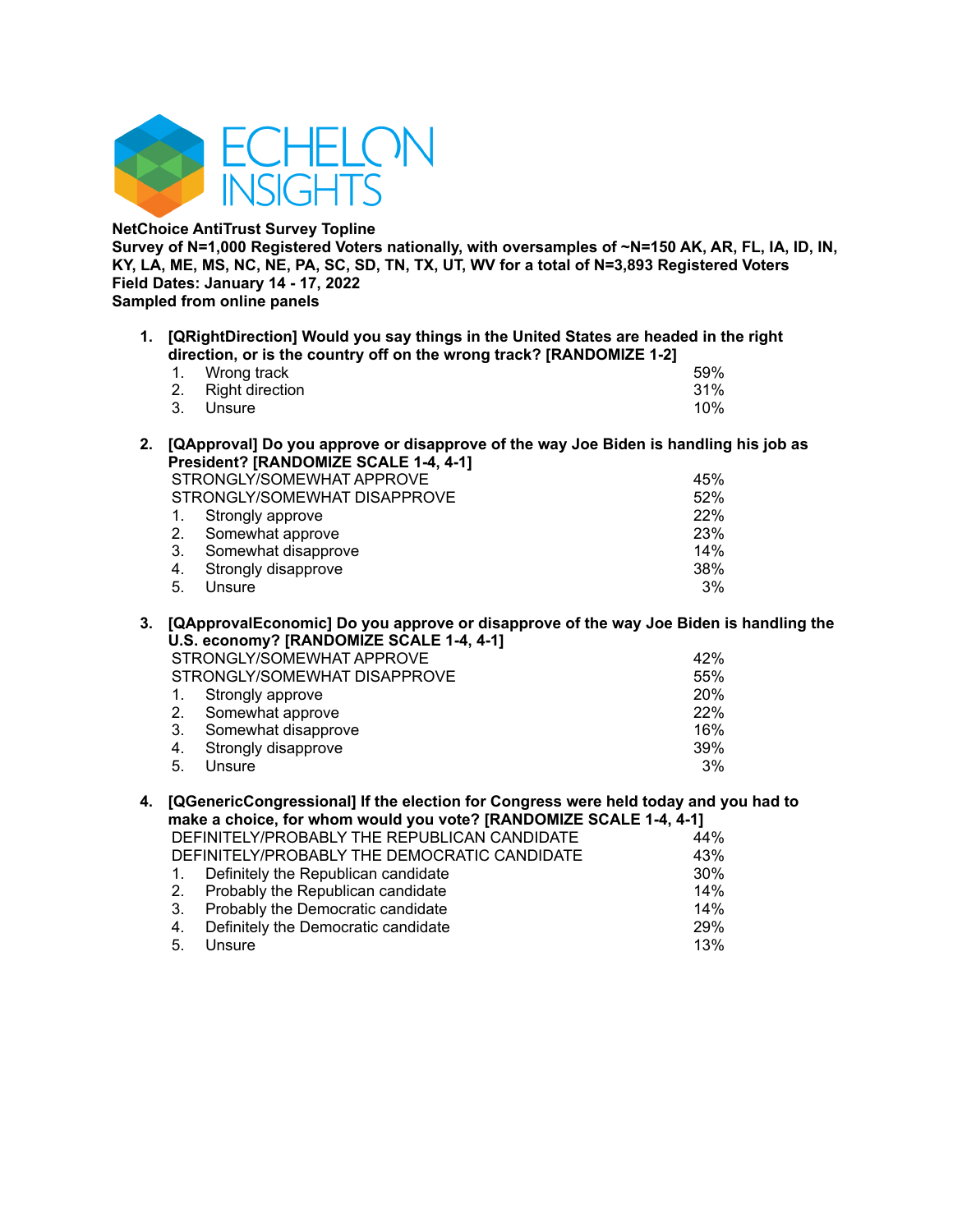

**NetChoice AntiTrust Survey Topline**

**Survey of N=1,000 Registered Voters nationally, with oversamples of ~N=150 AK, AR, FL, IA, ID, IN,** KY, LA, ME, MS, NC, NE, PA, SC, SD, TN, TX, UT, WV for a total of N=3,893 Registered Voters **Field Dates: January 14 - 17, 2022 Sampled from online panels**

**1. [QRightDirection] Would you say things in the United States are headed in the right direction, or is the country off on the wrong track? [RANDOMIZE 1-2]**

| 1. Wrong track     |  |  | 59% |
|--------------------|--|--|-----|
| 2. Right direction |  |  | 31% |
| 3. Unsure          |  |  | 10% |

**2. [QApproval] Do you approve or disapprove of the way Joe Biden is handling his job as President? [RANDOMIZE SCALE 1-4, 4-1]**

|    | STRONGLY/SOMEWHAT APPROVE    | 45%        |
|----|------------------------------|------------|
|    |                              |            |
|    | STRONGLY/SOMEWHAT DISAPPROVE | 52%        |
|    | 1. Strongly approve          | <b>22%</b> |
|    | 2. Somewhat approve          | 23%        |
| 3. | Somewhat disapprove          | 14%        |
|    | 4. Strongly disapprove       | 38%        |
| 5. | Unsure                       | 3%         |

**3. [QApprovalEconomic] Do you approve or disapprove of the way Joe Biden is handling the U.S. economy? [RANDOMIZE SCALE 1-4, 4-1]** STRONGLY/SOMEWHAT APPROVE 42% STRONGLY/SOMEWHAT DISAPPROVE 55%

|    | 1. Strongly approve    | 20% |
|----|------------------------|-----|
|    | 2. Somewhat approve    | 22% |
|    | 3. Somewhat disapprove | 16% |
|    | 4. Strongly disapprove | 39% |
| 5. | Unsure                 | 3%  |

#### **4. [QGenericCongressional] If the election for Congress were held today and you had to make a choice, for whom would you vote? [RANDOMIZE SCALE 1-4, 4-1]** DEFINITELY/PROBABLY THE REPUBLICAN CANDIDATE

| DEI INTELITIVODADET TIJE NET ODEJOAN OANDIDATE. | 77 70  |
|-------------------------------------------------|--------|
| DEFINITELY/PROBABLY THE DEMOCRATIC CANDIDATE    | 43%    |
| 1. Definitely the Republican candidate          | 30%    |
| 2. Probably the Republican candidate            | $14\%$ |
| 3. Probably the Democratic candidate            | 14%    |
| 4. Definitely the Democratic candidate          | 29%    |
| 5. Unsure                                       | 13%    |
|                                                 |        |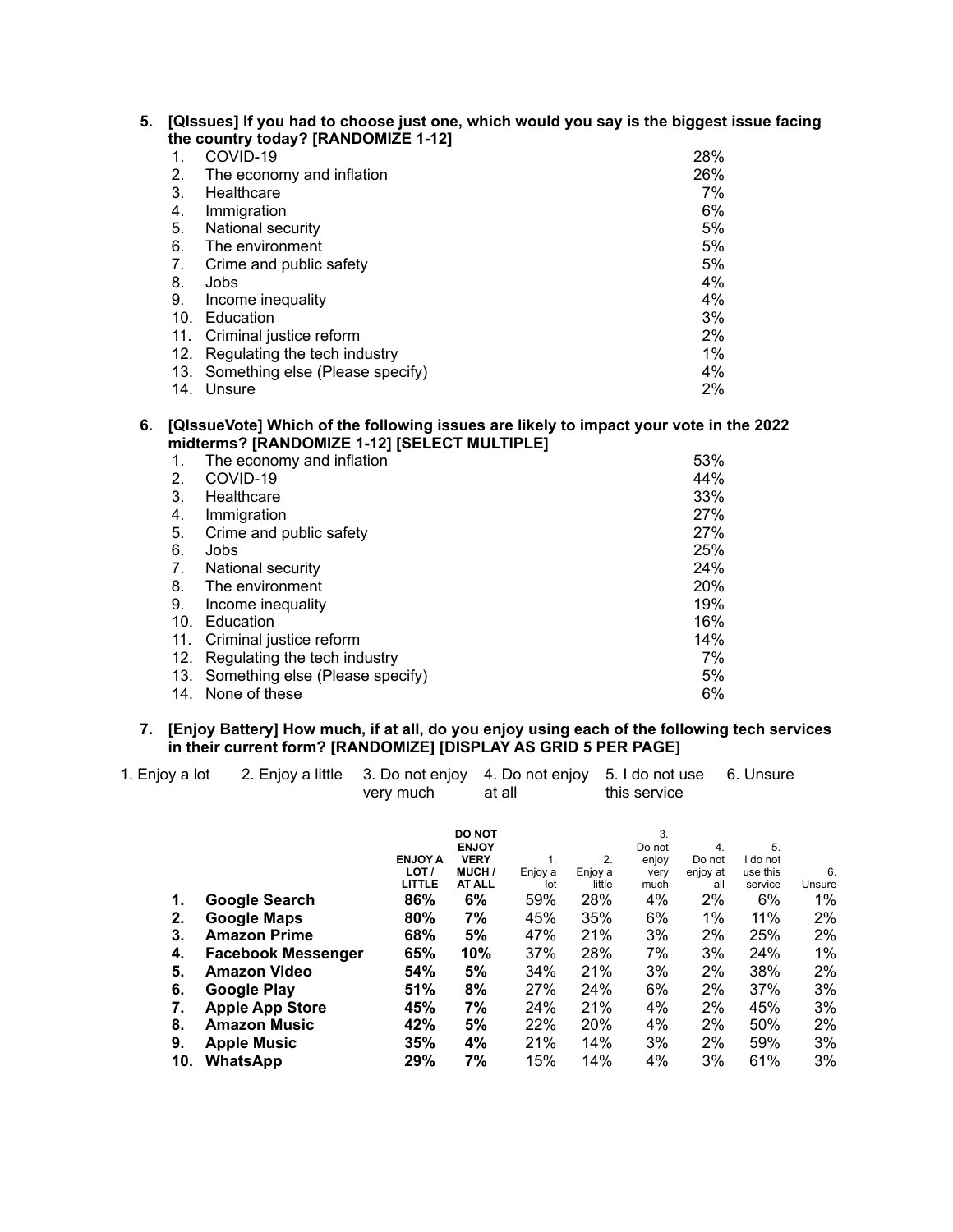| 5. [QIssues] If you had to choose just one, which would you say is the biggest issue facing |
|---------------------------------------------------------------------------------------------|
| the country today? [RANDOMIZE 1-12]                                                         |

| $\mathbf{1}$ . | COVID-19                        | 28%   |
|----------------|---------------------------------|-------|
| 2.             | The economy and inflation       | 26%   |
| 3.             | Healthcare                      | 7%    |
| 4.             | Immigration                     | 6%    |
| 5.             | National security               | 5%    |
| 6.             | The environment                 | 5%    |
| 7.             | Crime and public safety         | 5%    |
| 8.             | Jobs                            | 4%    |
| 9.             | Income inequality               | 4%    |
| 10.            | Education                       | 3%    |
| 11.            | Criminal justice reform         | 2%    |
| 12.            | Regulating the tech industry    | $1\%$ |
| 13.            | Something else (Please specify) | 4%    |
| 14.            | Unsure                          | 2%    |

## **6. [QIssueVote] Which of the following issues are likely to impact your vote in the 2022 midterms? [RANDOMIZE 1-12] [SELECT MULTIPLE]**

| 1.  | The economy and inflation       | 53% |
|-----|---------------------------------|-----|
| 2.  | COVID-19                        | 44% |
| 3.  | Healthcare                      | 33% |
| 4.  | Immigration                     | 27% |
| 5.  | Crime and public safety         | 27% |
| 6.  | Jobs                            | 25% |
| 7.  | National security               | 24% |
| 8.  | The environment                 | 20% |
| 9.  | Income inequality               | 19% |
| 10. | Education                       | 16% |
| 11. | Criminal justice reform         | 14% |
| 12. | Regulating the tech industry    | 7%  |
| 13. | Something else (Please specify) | 5%  |
| 14. | None of these                   | 6%  |

### **7. [Enjoy Battery] How much, if at all, do you enjoy using each of the following tech services in their current form? [RANDOMIZE] [DISPLAY AS GRID 5 PER PAGE]**

| 1. Enjoy a lot<br>2. Enjoy a little                                                                                          | very much                                              |                                                                                    |                                           |                                              |                                                         |                                                   |                                                           |                                           |
|------------------------------------------------------------------------------------------------------------------------------|--------------------------------------------------------|------------------------------------------------------------------------------------|-------------------------------------------|----------------------------------------------|---------------------------------------------------------|---------------------------------------------------|-----------------------------------------------------------|-------------------------------------------|
| <b>Google Search</b><br>Google Maps<br><b>Amazon Prime</b>                                                                   | <b>ENJOY A</b><br>LOT /<br>LITTLE<br>86%<br>80%<br>68% | <b>DO NOT</b><br><b>ENJOY</b><br><b>VERY</b><br>MUCH /<br>AT ALL<br>6%<br>7%<br>5% | 1.<br>Enjoy a<br>lot<br>59%<br>45%<br>47% | 2.<br>Enjoy a<br>little<br>28%<br>35%<br>21% | 3.<br>Do not<br>enjoy<br>very<br>much<br>4%<br>6%<br>3% | 4.<br>Do not<br>enjoy at<br>all<br>2%<br>1%<br>2% | 5.<br>I do not<br>use this<br>service<br>6%<br>11%<br>25% | 6.<br>Unsure<br>$1\%$<br>2%<br>$2\%$      |
| <b>Amazon Video</b><br>Google Play<br><b>Apple App Store</b><br><b>Amazon Music</b><br><b>Apple Music</b><br><b>WhatsApp</b> | 54%<br>51%<br>45%<br>42%<br>35%<br>29%                 | 10%<br>5%<br>8%<br>7%<br>5%<br>4%<br>7%                                            | 34%<br>27%<br>24%<br>22%<br>21%<br>15%    | 21%<br>24%<br>21%<br>20%<br>14%<br>14%       | 3%<br>6%<br>4%<br>4%<br>3%<br>4%                        | 2%<br>2%<br>2%<br>2%<br>2%<br>3%                  | 38%<br>37%<br>45%<br>50%<br>59%<br>61%                    | 1%<br>$2\%$<br>3%<br>3%<br>2%<br>3%<br>3% |
|                                                                                                                              |                                                        | 65%<br><b>Facebook Messenger</b>                                                   | 3. Do not enjoy                           | at all<br>37%                                | 4. Do not enjoy<br>28%                                  | 7%                                                | 5. I do not use<br>this service<br>3%                     | 6. Unsure<br>24%                          |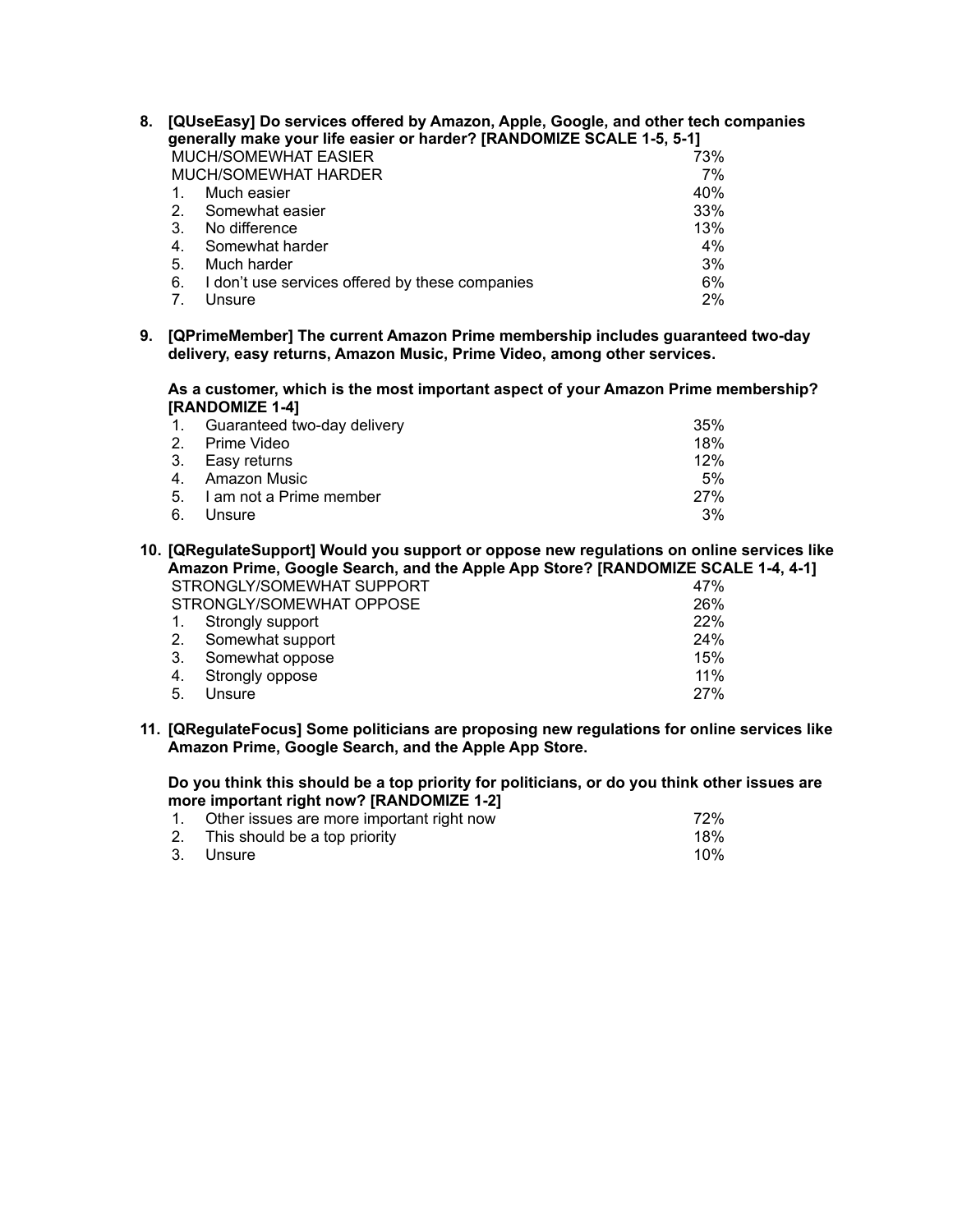| 8. |    | [QUseEasy] Do services offered by Amazon, Apple, Google, and other tech companies<br>generally make your life easier or harder? [RANDOMIZE SCALE 1-5, 5-1] |     |
|----|----|------------------------------------------------------------------------------------------------------------------------------------------------------------|-----|
|    |    | <b>MUCH/SOMEWHAT EASIER</b>                                                                                                                                | 73% |
|    |    | MUCH/SOMEWHAT HARDER                                                                                                                                       | 7%  |
|    | 1. | Much easier                                                                                                                                                | 40% |
|    | 2. | Somewhat easier                                                                                                                                            | 33% |
|    | 3. | No difference                                                                                                                                              | 13% |
|    | 4. | Somewhat harder                                                                                                                                            | 4%  |
|    | 5. | Much harder                                                                                                                                                | 3%  |
|    | 6. | I don't use services offered by these companies                                                                                                            | 6%  |
|    |    | Unsure                                                                                                                                                     | 2%  |

**9. [QPrimeMember] The current Amazon Prime membership includes guaranteed two-day delivery, easy returns, Amazon Music, Prime Video, among other services.**

**As a customer, which is the most important aspect of your Amazon Prime membership? [RANDOMIZE 1-4]**

| $\sim$ 1. | Guaranteed two-day delivery | 35% |
|-----------|-----------------------------|-----|
|           | 2. Prime Video              | 18% |
|           | 3. Easy returns             | 12% |
|           | 4. Amazon Music             | 5%  |
|           | 5. I am not a Prime member  | 27% |
| 6.        | Unsure                      | 3%  |

**10. [QRegulateSupport] Would you support or oppose new regulations on online services like Amazon Prime, Google Search, and the Apple App Store? [RANDOMIZE SCALE 1-4, 4-1]**

|     | STRONGLY/SOMEWHAT SUPPORT |  | 47% |
|-----|---------------------------|--|-----|
|     | STRONGLY/SOMEWHAT OPPOSE  |  | 26% |
| 1.  | Strongly support          |  | 22% |
| 2.  | Somewhat support          |  | 24% |
| -3. | Somewhat oppose           |  | 15% |
| 4.  | Strongly oppose           |  | 11% |
| 5.  | Unsure                    |  | 27% |

**11. [QRegulateFocus] Some politicians are proposing new regulations for online services like Amazon Prime, Google Search, and the Apple App Store.**

**Do you think this should be a top priority for politicians, or do you think other issues are more important right now? [RANDOMIZE 1-2]**

| 1. Other issues are more important right now | 72% |
|----------------------------------------------|-----|
| 2. This should be a top priority             | 18% |
| 3. Unsure                                    | 10% |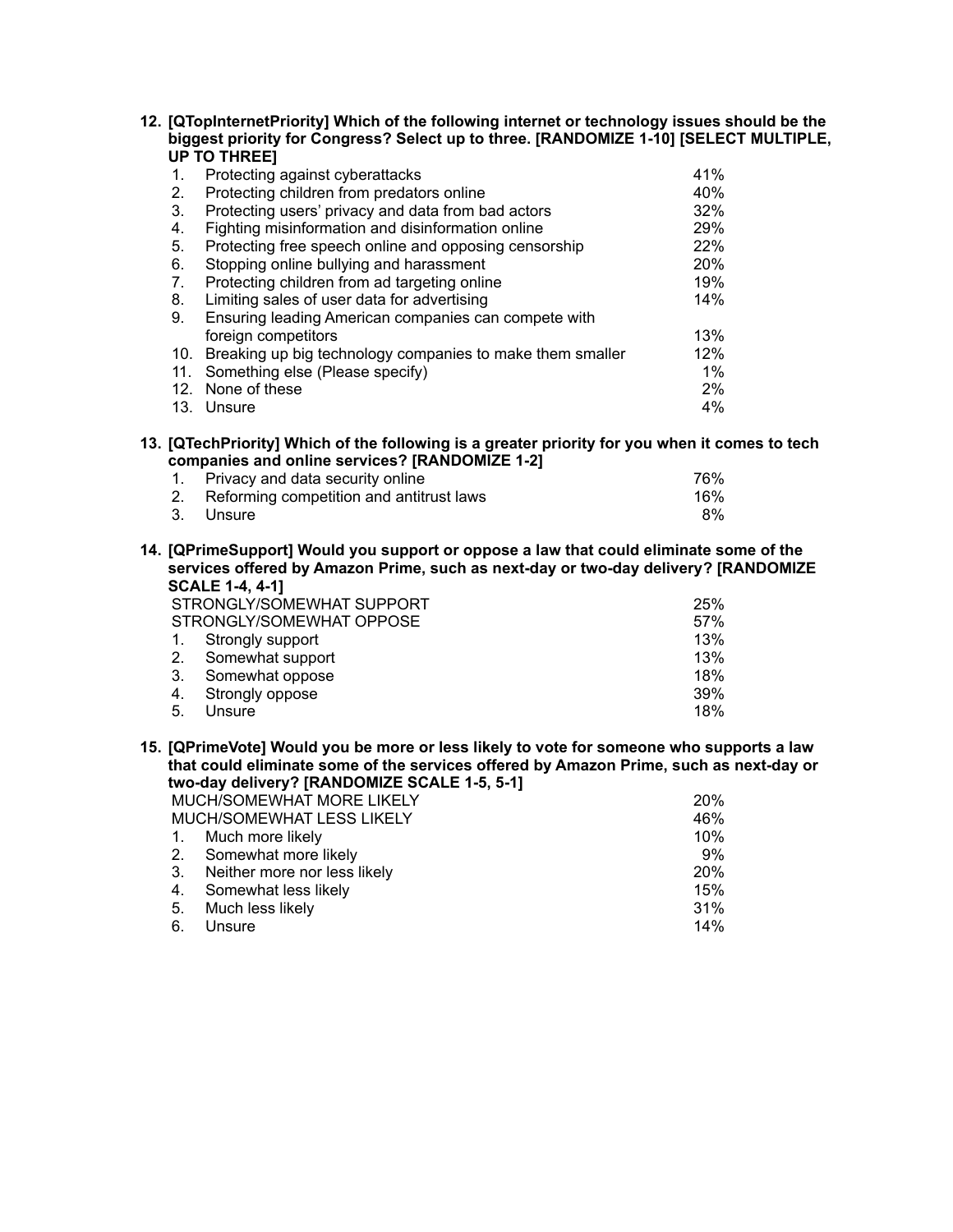**12. [QTopInternetPriority] Which of the following internet or technology issues should be the biggest priority for Congress? Select up to three. [RANDOMIZE 1-10] [SELECT MULTIPLE, UP TO THREE]**

| 1.  | Protecting against cyberattacks                           | 41%   |
|-----|-----------------------------------------------------------|-------|
| 2.  | Protecting children from predators online                 | 40%   |
| 3.  | Protecting users' privacy and data from bad actors        | 32%   |
| 4.  | Fighting misinformation and disinformation online         | 29%   |
| 5.  | Protecting free speech online and opposing censorship     | 22%   |
| 6.  | Stopping online bullying and harassment                   | 20%   |
| 7.  | Protecting children from ad targeting online              | 19%   |
| 8.  | Limiting sales of user data for advertising               | 14%   |
| 9.  | Ensuring leading American companies can compete with      |       |
|     | foreign competitors                                       | 13%   |
| 10. | Breaking up big technology companies to make them smaller | 12%   |
| 11. | Something else (Please specify)                           | $1\%$ |
| 12. | None of these                                             | $2\%$ |
|     | 13. Unsure                                                | 4%    |

**13. [QTechPriority] Which of the following is a greater priority for you when it comes to tech companies and online services? [RANDOMIZE 1-2]**

| 1. Privacy and data security online         | 76% |
|---------------------------------------------|-----|
| 2. Reforming competition and antitrust laws | 16% |
| 3. Unsure                                   | 8%  |

**14. [QPrimeSupport] Would you support or oppose a law that could eliminate some of the services offered by Amazon Prime, such as next-day or two-day delivery? [RANDOMIZE SCALE 1-4, 4-1]**

|                | STRONGLY/SOMEWHAT SUPPORT | 25% |
|----------------|---------------------------|-----|
|                | STRONGLY/SOMEWHAT OPPOSE  | 57% |
| $\mathbf{1}$ . | Strongly support          | 13% |
|                | 2. Somewhat support       | 13% |
| 3.             | Somewhat oppose           | 18% |
| 4.             | Strongly oppose           | 39% |
| 5.             | Unsure                    | 18% |

**15. [QPrimeVote] Would you be more or less likely to vote for someone who supports a law that could eliminate some of the services offered by Amazon Prime, such as next-day or two-day delivery? [RANDOMIZE SCALE 1-5, 5-1]**

|    | MUCH/SOMEWHAT MORE LIKELY       | <b>20%</b> |
|----|---------------------------------|------------|
|    | MUCH/SOMEWHAT LESS LIKELY       | 46%        |
|    | 1. Much more likely             | 10%        |
|    | 2. Somewhat more likely         | 9%         |
|    | 3. Neither more nor less likely | <b>20%</b> |
|    | 4. Somewhat less likely         | 15%        |
|    | 5. Much less likely             | 31%        |
| 6. | Unsure                          | 14%        |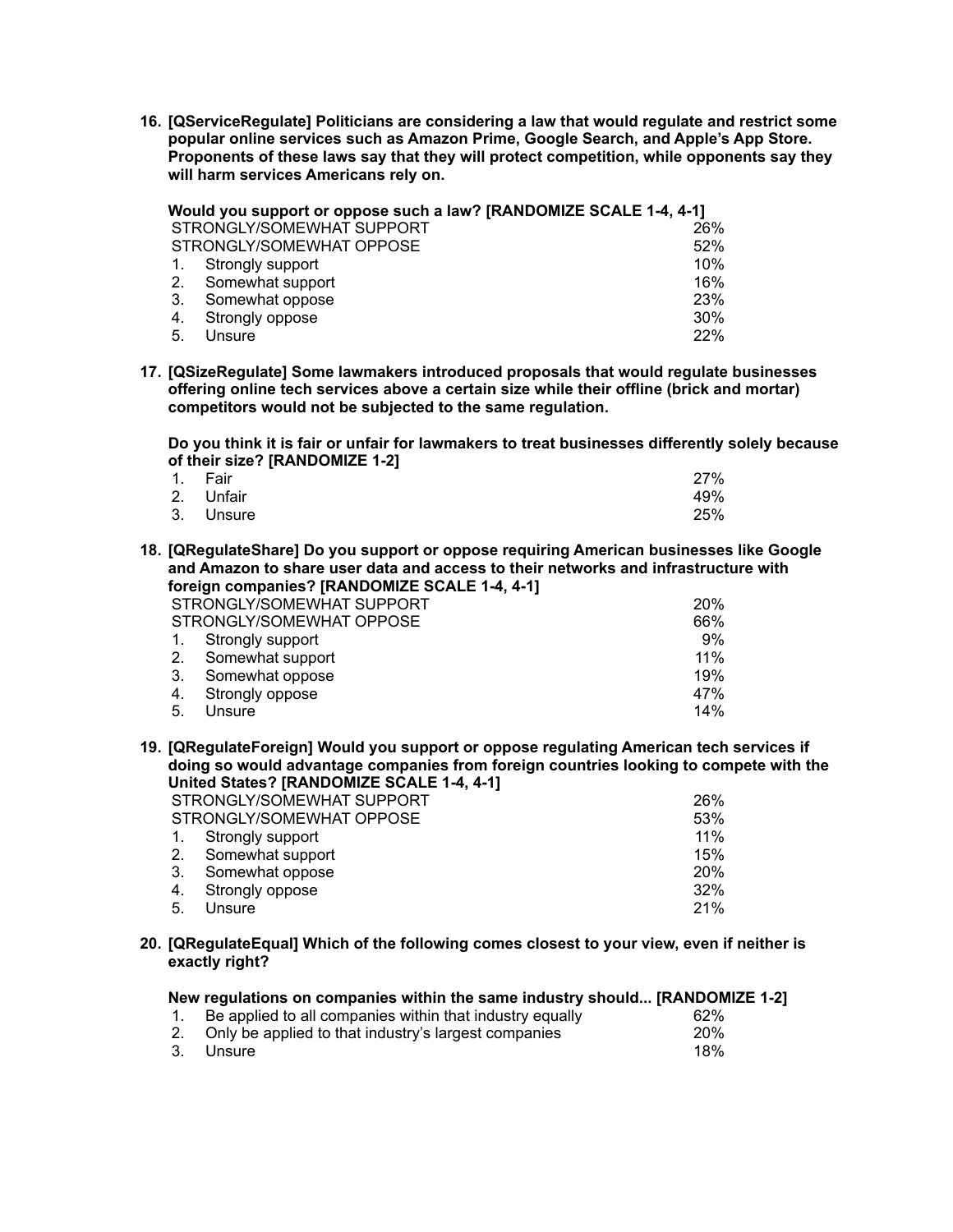**16. [QServiceRegulate] Politicians are considering a law that would regulate and restrict some popular online services such as Amazon Prime, Google Search, and Apple's App Store. Proponents of these laws say that they will protect competition, while opponents say they will harm services Americans rely on.**

|             | Would you support or oppose such a law? [RANDOMIZE SCALE 1-4, 4-1] |     |
|-------------|--------------------------------------------------------------------|-----|
|             | STRONGLY/SOMEWHAT SUPPORT                                          | 26% |
|             | STRONGLY/SOMEWHAT OPPOSE                                           | 52% |
| $1_{\cdot}$ | Strongly support                                                   | 10% |
|             | 2. Somewhat support                                                | 16% |
| 3.          | Somewhat oppose                                                    | 23% |
| 4.          | Strongly oppose                                                    | 30% |
| 5.          | Unsure                                                             | 22% |

**17. [QSizeRegulate] Some lawmakers introduced proposals that would regulate businesses offering online tech services above a certain size while their offline (brick and mortar) competitors would not be subjected to the same regulation.**

**Do you think it is fair or unfair for lawmakers to treat businesses differently solely because of their size? [RANDOMIZE 1-2]**

| 1. Fair   | 27% |
|-----------|-----|
| 2. Unfair | 49% |
| 3. Unsure | 25% |

**18. [QRegulateShare] Do you support or oppose requiring American businesses like Google and Amazon to share user data and access to their networks and infrastructure with foreign companies? [RANDOMIZE SCALE 1-4, 4-1]**

|    | STRONGLY/SOMEWHAT SUPPORT | <b>20%</b> |
|----|---------------------------|------------|
|    | STRONGLY/SOMEWHAT OPPOSE  | 66%        |
| 1. | Strongly support          | 9%         |
|    | 2. Somewhat support       | 11%        |
| 3. | Somewhat oppose           | 19%        |
| 4. | Strongly oppose           | 47%        |
| 5. | Unsure                    | 14%        |
|    |                           |            |

**19. [QRegulateForeign] Would you support or oppose regulating American tech services if doing so would advantage companies from foreign countries looking to compete with the United States? [RANDOMIZE SCALE 1-4, 4-1]**

| STRONGLY/SOMEWHAT SUPPORT | 26% |
|---------------------------|-----|
| STRONGLY/SOMEWHAT OPPOSE  | 53% |
| 1. Strongly support       | 11% |
| 2. Somewhat support       | 15% |
| 3. Somewhat oppose        | 20% |
| 4. Strongly oppose        | 32% |
| 5. Unsure                 | 21% |

**20. [QRegulateEqual] Which of the following comes closest to your view, even if neither is exactly right?**

| New regulations on companies within the same industry should [RANDOMIZE 1-2] |            |
|------------------------------------------------------------------------------|------------|
| 1. Be applied to all companies within that industry equally                  | 62%        |
| 2. Only be applied to that industry's largest companies                      | <b>20%</b> |
| 3. Unsure                                                                    | 18%        |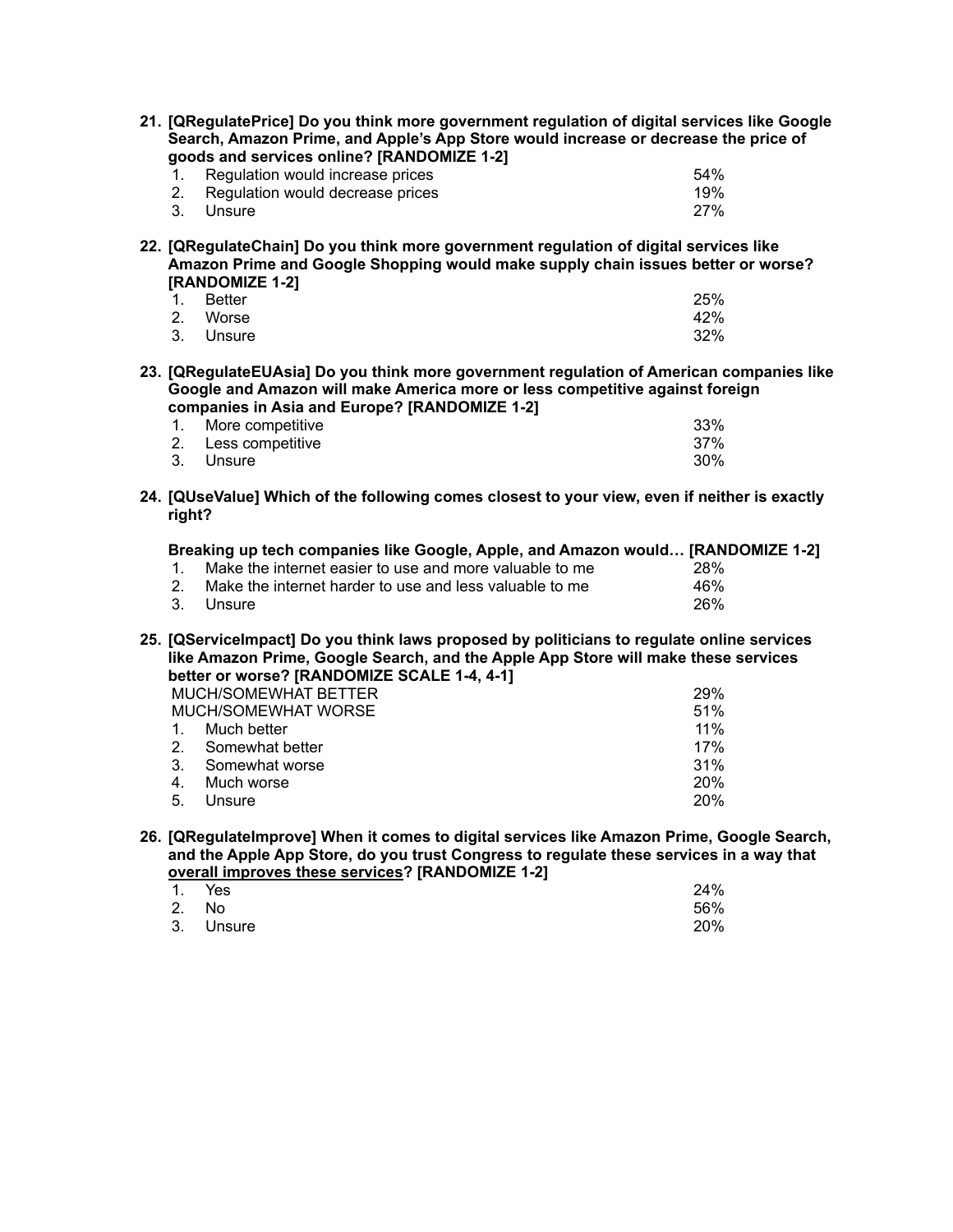|                                                                                                                                                                                                                                 | 21. [QRegulatePrice] Do you think more government regulation of digital services like Google<br>Search, Amazon Prime, and Apple's App Store would increase or decrease the price of<br>goods and services online? [RANDOMIZE 1-2] |     |
|---------------------------------------------------------------------------------------------------------------------------------------------------------------------------------------------------------------------------------|-----------------------------------------------------------------------------------------------------------------------------------------------------------------------------------------------------------------------------------|-----|
| $1_{-}$                                                                                                                                                                                                                         | Regulation would increase prices                                                                                                                                                                                                  | 54% |
| 2.                                                                                                                                                                                                                              | Regulation would decrease prices                                                                                                                                                                                                  | 19% |
| 3.<br>Unsure                                                                                                                                                                                                                    |                                                                                                                                                                                                                                   | 27% |
|                                                                                                                                                                                                                                 | 22. [QRegulateChain] Do you think more government regulation of digital services like<br>Amazon Prime and Google Shopping would make supply chain issues better or worse?<br>[RANDOMIZE 1-2]                                      |     |
| <b>Better</b><br>1 <sup>1</sup>                                                                                                                                                                                                 |                                                                                                                                                                                                                                   | 25% |
| 2. Worse                                                                                                                                                                                                                        |                                                                                                                                                                                                                                   | 42% |
| 3.<br>Unsure                                                                                                                                                                                                                    |                                                                                                                                                                                                                                   | 32% |
|                                                                                                                                                                                                                                 | 23. [QRegulateEUAsia] Do you think more government regulation of American companies like<br>Google and Amazon will make America more or less competitive against foreign<br>companies in Asia and Europe? [RANDOMIZE 1-2]         |     |
| 1.                                                                                                                                                                                                                              | More competitive                                                                                                                                                                                                                  | 33% |
| 2.                                                                                                                                                                                                                              | Less competitive                                                                                                                                                                                                                  | 37% |
| 3.<br>Unsure                                                                                                                                                                                                                    |                                                                                                                                                                                                                                   | 30% |
| right?                                                                                                                                                                                                                          | 24. [QUseValue] Which of the following comes closest to your view, even if neither is exactly                                                                                                                                     |     |
|                                                                                                                                                                                                                                 | Breaking up tech companies like Google, Apple, and Amazon would [RANDOMIZE 1-2]                                                                                                                                                   |     |
| 1.                                                                                                                                                                                                                              | Make the internet easier to use and more valuable to me                                                                                                                                                                           | 28% |
| 2.                                                                                                                                                                                                                              | Make the internet harder to use and less valuable to me                                                                                                                                                                           | 46% |
| 3.<br>Unsure                                                                                                                                                                                                                    |                                                                                                                                                                                                                                   | 26% |
| 25. [QServiceImpact] Do you think laws proposed by politicians to regulate online services<br>like Amazon Prime, Google Search, and the Apple App Store will make these services<br>better or worse? [RANDOMIZE SCALE 1-4, 4-1] |                                                                                                                                                                                                                                   |     |
|                                                                                                                                                                                                                                 | MUCH/SOMEWHAT BETTER                                                                                                                                                                                                              | 29% |
|                                                                                                                                                                                                                                 | <b>MUCH/SOMEWHAT WORSE</b>                                                                                                                                                                                                        | 51% |
| 1.                                                                                                                                                                                                                              | Much better                                                                                                                                                                                                                       | 11% |
| 2.                                                                                                                                                                                                                              | Somewhat better                                                                                                                                                                                                                   | 17% |
| 3.                                                                                                                                                                                                                              | Somewhat worse                                                                                                                                                                                                                    | 31% |
| 4.                                                                                                                                                                                                                              | Much worse                                                                                                                                                                                                                        | 20% |
| 5.<br>Unsure                                                                                                                                                                                                                    |                                                                                                                                                                                                                                   | 20% |

**26. [QRegulateImprove] When it comes to digital services like Amazon Prime, Google Search, and the Apple App Store, do you trust Congress to regulate these services in a way that overall improves these services? [RANDOMIZE 1-2]**

| 1. Yes    | 24% |
|-----------|-----|
| 2. No     | 56% |
| 3. Unsure | 20% |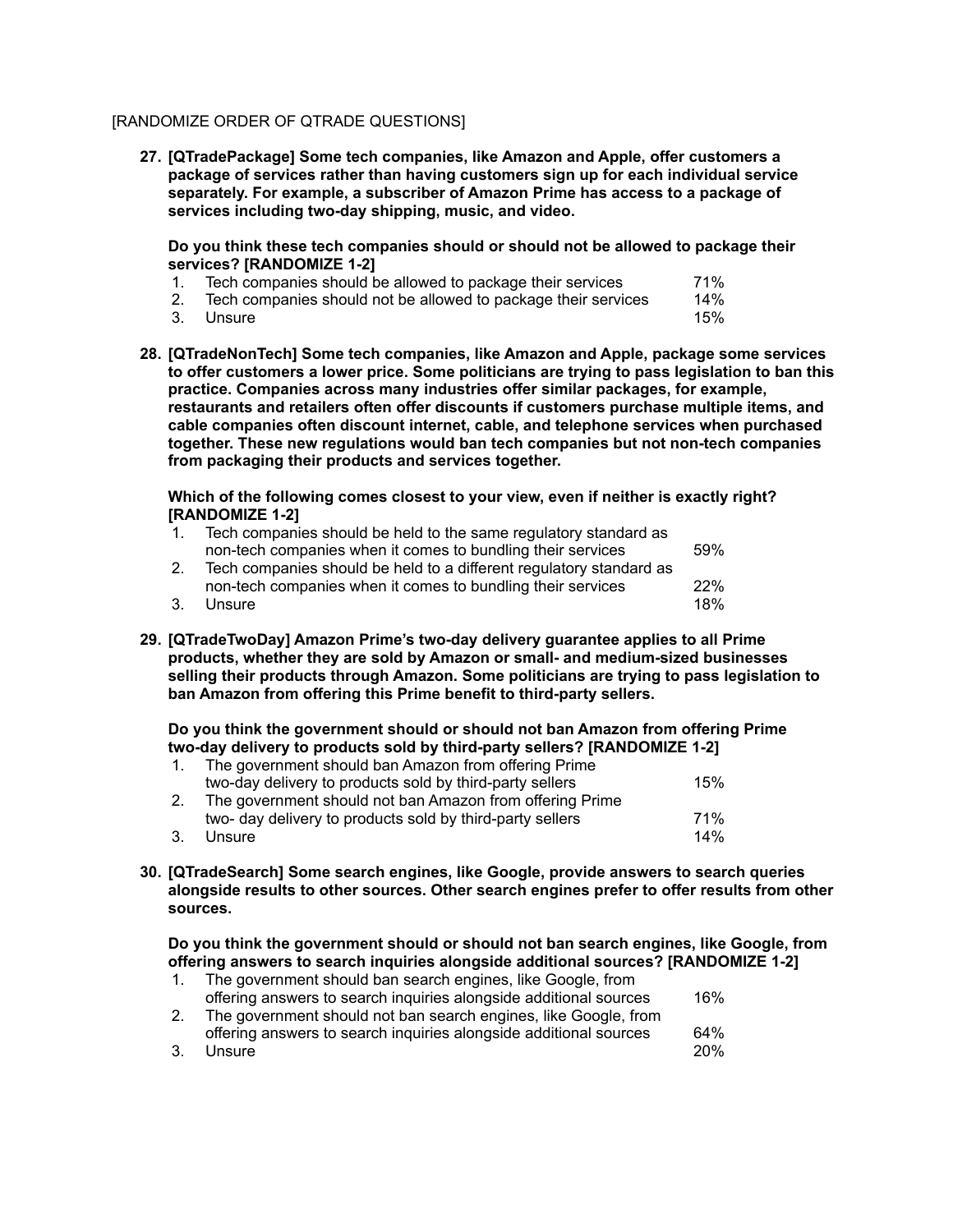# [RANDOMIZE ORDER OF QTRADE QUESTIONS]

**27. [QTradePackage] Some tech companies, like Amazon and Apple, offer customers a package of services rather than having customers sign up for each individual service separately. For example, a subscriber of Amazon Prime has access to a package of services including two-day shipping, music, and video.**

**Do you think these tech companies should or should not be allowed to package their services? [RANDOMIZE 1-2]**

- 1. Tech companies should be allowed to package their services 71%
- 2. Tech companies should not be allowed to package their services  $14\%$
- 3. Unsure 15%
- **28. [QTradeNonTech] Some tech companies, like Amazon and Apple, package some services to offer customers a lower price. Some politicians are trying to pass legislation to ban this practice. Companies across many industries offer similar packages, for example, restaurants and retailers often offer discounts if customers purchase multiple items, and cable companies often discount internet, cable, and telephone services when purchased together. These new regulations would ban tech companies but not non-tech companies from packaging their products and services together.**

**Which of the following comes closest to your view, even if neither is exactly right? [RANDOMIZE 1-2]**

| $\mathbf{1}$ | Tech companies should be held to the same regulatory standard as    |     |
|--------------|---------------------------------------------------------------------|-----|
|              | non-tech companies when it comes to bundling their services         | 59% |
| 2.           | Tech companies should be held to a different regulatory standard as |     |
|              | non-tech companies when it comes to bundling their services         | 22% |
| 3.           | Unsure                                                              | 18% |

**29. [QTradeTwoDay] Amazon Prime's two-day delivery guarantee applies to all Prime products, whether they are sold by Amazon or small- and medium-sized businesses selling their products through Amazon. Some politicians are trying to pass legislation to ban Amazon from offering this Prime benefit to third-party sellers.**

**Do you think the government should or should not ban Amazon from offering Prime two-day delivery to products sold by third-party sellers? [RANDOMIZE 1-2]**

| $1_{\cdot}$    | The government should ban Amazon from offering Prime      |     |
|----------------|-----------------------------------------------------------|-----|
|                | two-day delivery to products sold by third-party sellers  | 15% |
| 2 <sub>1</sub> | The government should not ban Amazon from offering Prime  |     |
|                | two- day delivery to products sold by third-party sellers | 71% |
| 3.             | Unsure                                                    | 14% |

**30. [QTradeSearch] Some search engines, like Google, provide answers to search queries alongside results to other sources. Other search engines prefer to offer results from other sources.**

**Do you think the government should or should not ban search engines, like Google, from offering answers to search inquiries alongside additional sources? [RANDOMIZE 1-2]** 1. The government should ban search engines, like Google, from

|    | The government should ban search engines, like Google, from       |            |
|----|-------------------------------------------------------------------|------------|
|    | offering answers to search inquiries alongside additional sources | 16%        |
|    | The government should not ban search engines, like Google, from   |            |
|    | offering answers to search inquiries alongside additional sources | 64%        |
| 3. | Unsure                                                            | <b>20%</b> |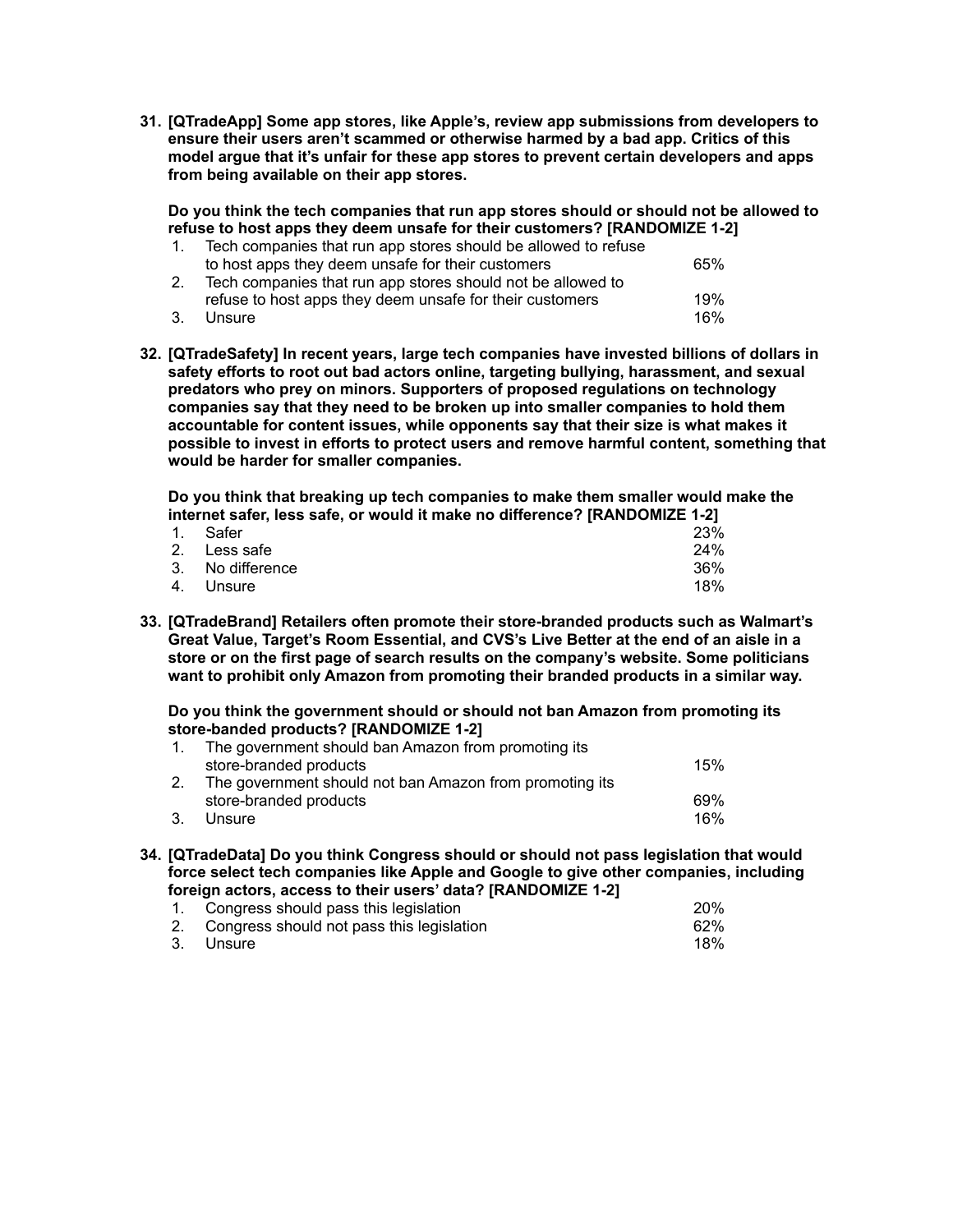**31. [QTradeApp] Some app stores, like Apple's, review app submissions from developers to ensure their users aren't scammed or otherwise harmed by a bad app. Critics of this model argue that it's unfair for these app stores to prevent certain developers and apps from being available on their app stores.**

**Do you think the tech companies that run app stores should or should not be allowed to refuse to host apps they deem unsafe for their customers? [RANDOMIZE 1-2]**

|    | Tech companies that run app stores should be allowed to refuse |     |
|----|----------------------------------------------------------------|-----|
|    | to host apps they deem unsafe for their customers              | 65% |
|    | Tech companies that run app stores should not be allowed to    |     |
|    | refuse to host apps they deem unsafe for their customers       | 19% |
| 3. | Unsure                                                         | 16% |

**32. [QTradeSafety] In recent years, large tech companies have invested billions of dollars in safety efforts to root out bad actors online, targeting bullying, harassment, and sexual predators who prey on minors. Supporters of proposed regulations on technology companies say that they need to be broken up into smaller companies to hold them accountable for content issues, while opponents say that their size is what makes it possible to invest in efforts to protect users and remove harmful content, something that would be harder for smaller companies.**

**Do you think that breaking up tech companies to make them smaller would make the internet safer, less safe, or would it make no difference? [RANDOMIZE 1-2]**

| 1. Safer         | 23% |
|------------------|-----|
| 2. Less safe     | 24% |
| 3. No difference | 36% |
| 4. Unsure        | 18% |

**33. [QTradeBrand] Retailers often promote their store-branded products such as Walmart's Great Value, Target's Room Essential, and CVS's Live Better at the end of an aisle in a store or on the first page of search results on the company's website. Some politicians want to prohibit only Amazon from promoting their branded products in a similar way.**

**Do you think the government should or should not ban Amazon from promoting its store-banded products? [RANDOMIZE 1-2]**

|    | The government should ban Amazon from promoting its     |     |
|----|---------------------------------------------------------|-----|
|    | store-branded products                                  | 15% |
|    | The government should not ban Amazon from promoting its |     |
|    | store-branded products                                  | 69% |
| 3. | Unsure                                                  | 16% |

**34. [QTradeData] Do you think Congress should or should not pass legislation that would force select tech companies like Apple and Google to give other companies, including foreign actors, access to their users' data? [RANDOMIZE 1-2]**

| 1. Congress should pass this legislation     | <b>20%</b> |
|----------------------------------------------|------------|
| 2. Congress should not pass this legislation | 62%        |
| 3. Unsure                                    | 18%        |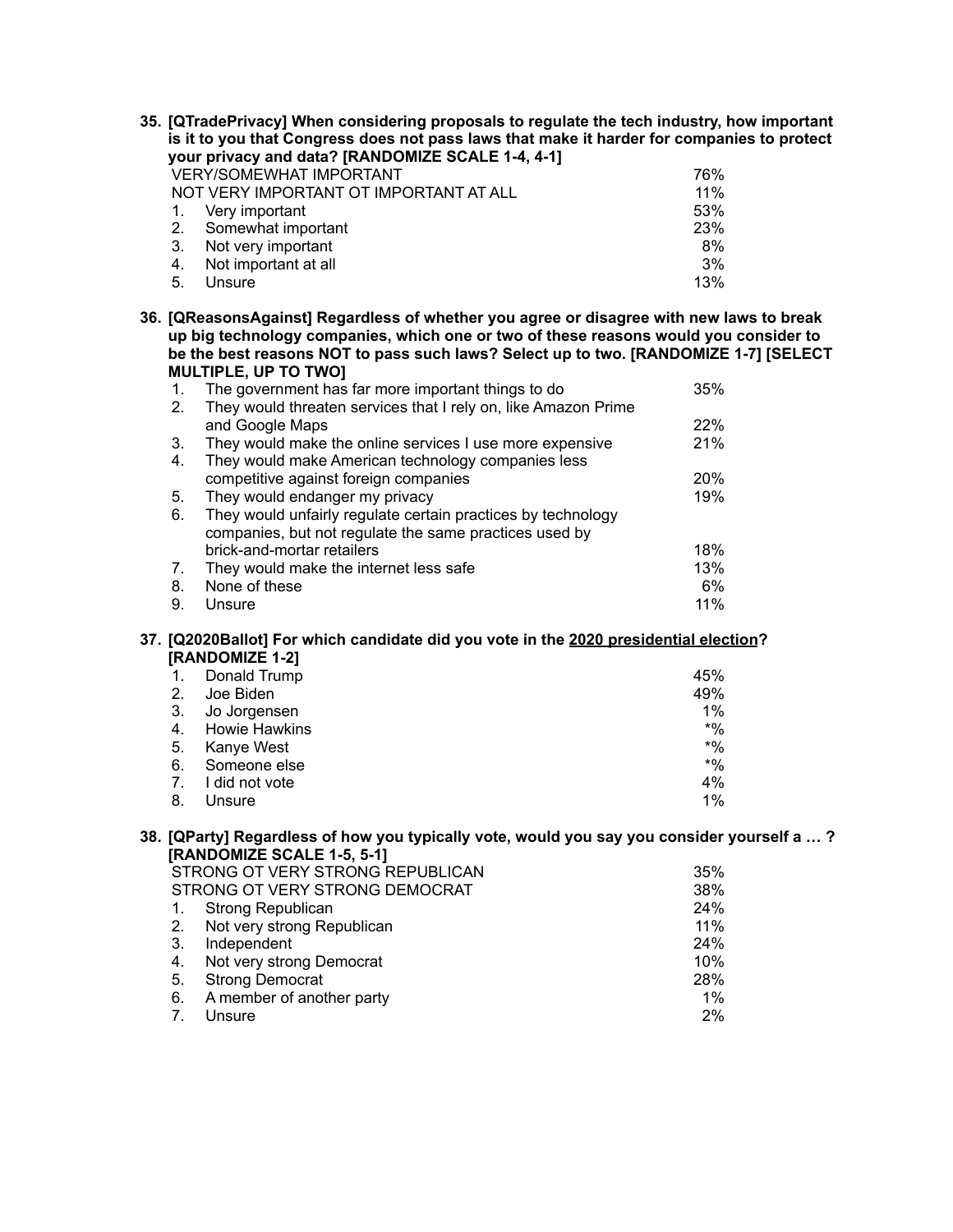| 35. [QTradePrivacy] When considering proposals to regulate the tech industry, how important<br>is it to you that Congress does not pass laws that make it harder for companies to protect |                                                                                            |                  |  |  |  |
|-------------------------------------------------------------------------------------------------------------------------------------------------------------------------------------------|--------------------------------------------------------------------------------------------|------------------|--|--|--|
|                                                                                                                                                                                           | your privacy and data? [RANDOMIZE SCALE 1-4, 4-1]                                          |                  |  |  |  |
|                                                                                                                                                                                           | <b>VERY/SOMEWHAT IMPORTANT</b>                                                             | 76%              |  |  |  |
|                                                                                                                                                                                           | NOT VERY IMPORTANT OT IMPORTANT AT ALL                                                     | 11%              |  |  |  |
| 1.                                                                                                                                                                                        | Very important                                                                             | 53%              |  |  |  |
| 2.                                                                                                                                                                                        | Somewhat important                                                                         | 23%              |  |  |  |
| 3.                                                                                                                                                                                        | Not very important                                                                         | 8%               |  |  |  |
| 4.                                                                                                                                                                                        | Not important at all                                                                       | 3%               |  |  |  |
| 5.                                                                                                                                                                                        | Unsure                                                                                     | 13%              |  |  |  |
|                                                                                                                                                                                           | 36. [QReasonsAgainst] Regardless of whether you agree or disagree with new laws to break   |                  |  |  |  |
|                                                                                                                                                                                           | up big technology companies, which one or two of these reasons would you consider to       |                  |  |  |  |
|                                                                                                                                                                                           | be the best reasons NOT to pass such laws? Select up to two. [RANDOMIZE 1-7] [SELECT       |                  |  |  |  |
|                                                                                                                                                                                           | <b>MULTIPLE, UP TO TWO]</b>                                                                |                  |  |  |  |
| 1.                                                                                                                                                                                        | The government has far more important things to do                                         | 35%              |  |  |  |
| 2.                                                                                                                                                                                        | They would threaten services that I rely on, like Amazon Prime                             |                  |  |  |  |
|                                                                                                                                                                                           | and Google Maps                                                                            | 22%              |  |  |  |
| 3.                                                                                                                                                                                        | They would make the online services I use more expensive                                   | 21%              |  |  |  |
| 4.                                                                                                                                                                                        | They would make American technology companies less                                         |                  |  |  |  |
|                                                                                                                                                                                           | competitive against foreign companies                                                      | 20%              |  |  |  |
| 5.                                                                                                                                                                                        | They would endanger my privacy                                                             | 19%              |  |  |  |
| 6.                                                                                                                                                                                        | They would unfairly regulate certain practices by technology                               |                  |  |  |  |
|                                                                                                                                                                                           | companies, but not regulate the same practices used by                                     |                  |  |  |  |
|                                                                                                                                                                                           | brick-and-mortar retailers                                                                 | 18%              |  |  |  |
| 7.                                                                                                                                                                                        | They would make the internet less safe                                                     | 13%              |  |  |  |
| 8.<br>9.                                                                                                                                                                                  | None of these<br>Unsure                                                                    | 6%<br>11%        |  |  |  |
|                                                                                                                                                                                           |                                                                                            |                  |  |  |  |
|                                                                                                                                                                                           | 37. [Q2020Ballot] For which candidate did you vote in the 2020 presidential election?      |                  |  |  |  |
|                                                                                                                                                                                           | [RANDOMIZE 1-2]                                                                            |                  |  |  |  |
| 1.                                                                                                                                                                                        | Donald Trump                                                                               | 45%              |  |  |  |
| 2.                                                                                                                                                                                        | Joe Biden                                                                                  | 49%              |  |  |  |
| 3.                                                                                                                                                                                        | Jo Jorgensen                                                                               | 1%               |  |  |  |
| 4.                                                                                                                                                                                        | <b>Howie Hawkins</b>                                                                       | $*9/0$           |  |  |  |
| 5.                                                                                                                                                                                        | Kanye West                                                                                 | $*9/0$<br>$*9/0$ |  |  |  |
| 6.                                                                                                                                                                                        | Someone else                                                                               |                  |  |  |  |
| 7.<br>8.                                                                                                                                                                                  | I did not vote                                                                             | 4%<br>1%         |  |  |  |
|                                                                                                                                                                                           | Unsure                                                                                     |                  |  |  |  |
|                                                                                                                                                                                           | 38. [QParty] Regardless of how you typically vote, would you say you consider yourself a ? |                  |  |  |  |
|                                                                                                                                                                                           | [RANDOMIZE SCALE 1-5, 5-1]                                                                 |                  |  |  |  |
|                                                                                                                                                                                           | STRONG OT VERY STRONG REPUBLICAN                                                           | 35%              |  |  |  |
|                                                                                                                                                                                           | STRONG OT VERY STRONG DEMOCRAT                                                             | 38%              |  |  |  |
| 1.<br>2.                                                                                                                                                                                  | Strong Republican                                                                          | 24%<br>11%       |  |  |  |
| 3.                                                                                                                                                                                        | Not very strong Republican<br>Independent                                                  | 24%              |  |  |  |
| 4.                                                                                                                                                                                        | Not very strong Democrat                                                                   | 10%              |  |  |  |
| 5.                                                                                                                                                                                        | <b>Strong Democrat</b>                                                                     | 28%              |  |  |  |
|                                                                                                                                                                                           |                                                                                            |                  |  |  |  |

- 6. A member of another party 1% and 1%
- 7. Unsure 2%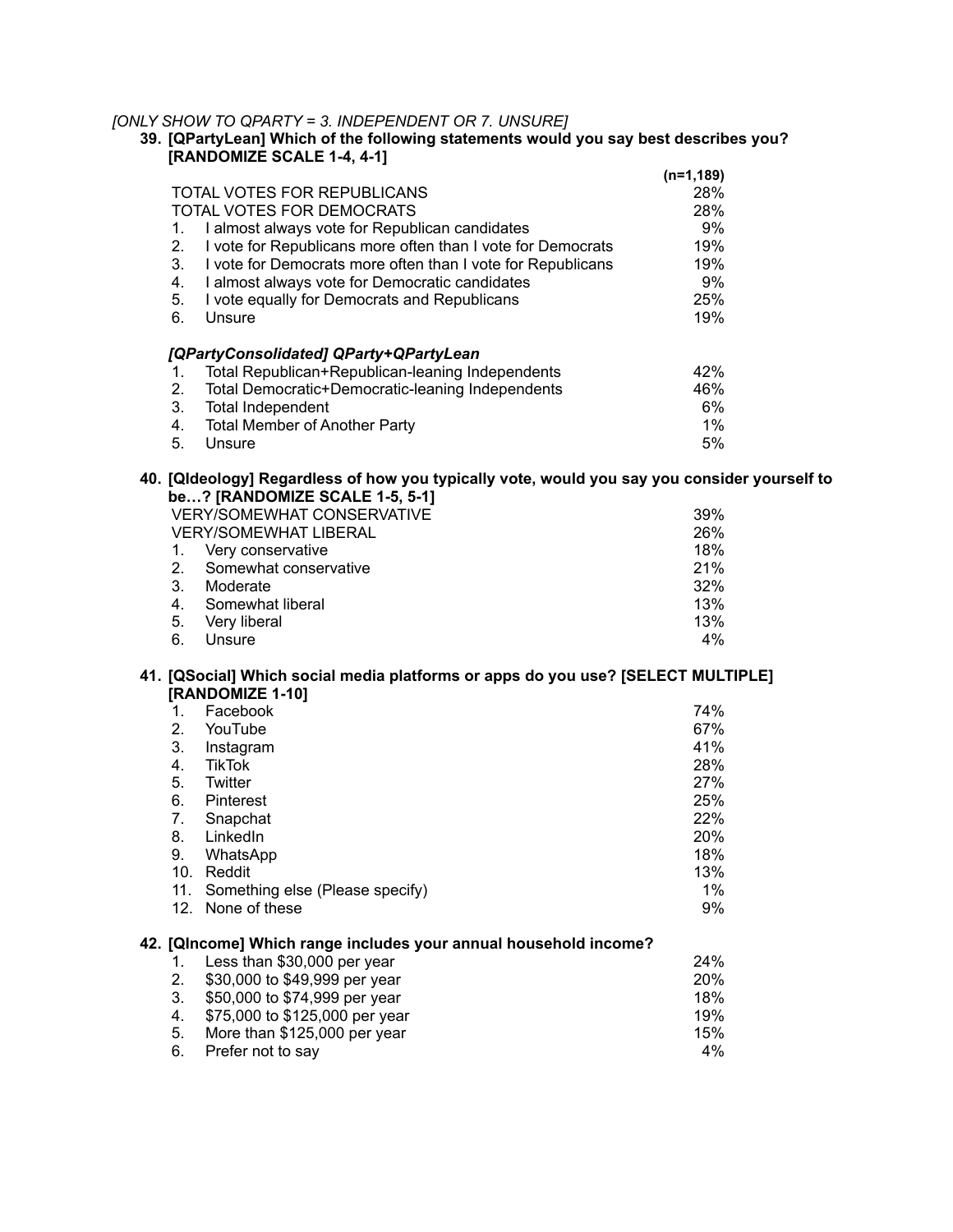# *[ONLY SHOW TO QPARTY = 3. INDEPENDENT OR 7. UNSURE]*

| 39. [QPartyLean] Which of the following statements would you say best describes you? |  |
|--------------------------------------------------------------------------------------|--|
| [RANDOMIZE SCALE 1-4, 4-1]                                                           |  |

|    |                                                             | $(n=1, 189)$ |
|----|-------------------------------------------------------------|--------------|
|    | TOTAL VOTES FOR REPUBLICANS                                 | 28%          |
|    | TOTAL VOTES FOR DEMOCRATS                                   | 28%          |
| 1. | I almost always vote for Republican candidates              | 9%           |
| 2. | I vote for Republicans more often than I vote for Democrats | 19%          |
| 3. | I vote for Democrats more often than I vote for Republicans | 19%          |
| 4. | I almost always vote for Democratic candidates              | 9%           |
| 5. | I vote equally for Democrats and Republicans                | 25%          |
| 6. | Unsure                                                      | 19%          |
|    | [QPartyConsolidated] QParty+QPartyLean                      |              |
| 1. | Total Republican+Republican-leaning Independents            | 42%          |
| 2. | Total Democratic+Democratic-leaning Independents            | 46%          |
| 3. | <b>Total Independent</b>                                    | 6%           |
| 4. | <b>Total Member of Another Party</b>                        | $1\%$        |
| 5. | Unsure                                                      | 5%           |

### **40. [QIdeology] Regardless of how you typically vote, would you say you consider yourself to be…? [RANDOMIZE SCALE 1-5, 5-1]**

| <b>VERY/SOMEWHAT CONSERVATIVE</b> |                       | 39% |
|-----------------------------------|-----------------------|-----|
| <b>VERY/SOMEWHAT LIBERAL</b>      |                       | 26% |
| $\mathbf{1}$ .                    | Very conservative     | 18% |
| 2 <sub>1</sub>                    | Somewhat conservative | 21% |
| 3.                                | Moderate              | 32% |
| 4.                                | Somewhat liberal      | 13% |
| 5.                                | Very liberal          | 13% |
| 6.                                | Unsure                | 4%  |

### **41. [QSocial] Which social media platforms or apps do you use? [SELECT MULTIPLE] [RANDOMIZE 1-10]**

|                 | Facebook                                                         | 74% |
|-----------------|------------------------------------------------------------------|-----|
| 2.              | YouTube                                                          | 67% |
| 3.              | Instagram                                                        | 41% |
| 4.              | <b>TikTok</b>                                                    | 28% |
| 5.              | Twitter                                                          | 27% |
| 6.              | Pinterest                                                        | 25% |
| 7.              | Snapchat                                                         | 22% |
| 8.              | LinkedIn                                                         | 20% |
| 9.              | WhatsApp                                                         | 18% |
| 10.             | Reddit                                                           | 13% |
| 11.             | Something else (Please specify)                                  | 1%  |
| 12 <sub>1</sub> | None of these                                                    | 9%  |
|                 | 42. [QIncome] Which range includes your annual household income? |     |

| 1. Less than \$30,000 per year    | 24%        |
|-----------------------------------|------------|
| 2. \$30,000 to \$49,999 per year  | <b>20%</b> |
| \$50,000 to \$74,999 per year     | 18%        |
| 4. \$75,000 to \$125,000 per year | 19%        |
| More than \$125,000 per year      | 15%        |
| 6. Prefer not to say              | 4%         |
|                                   |            |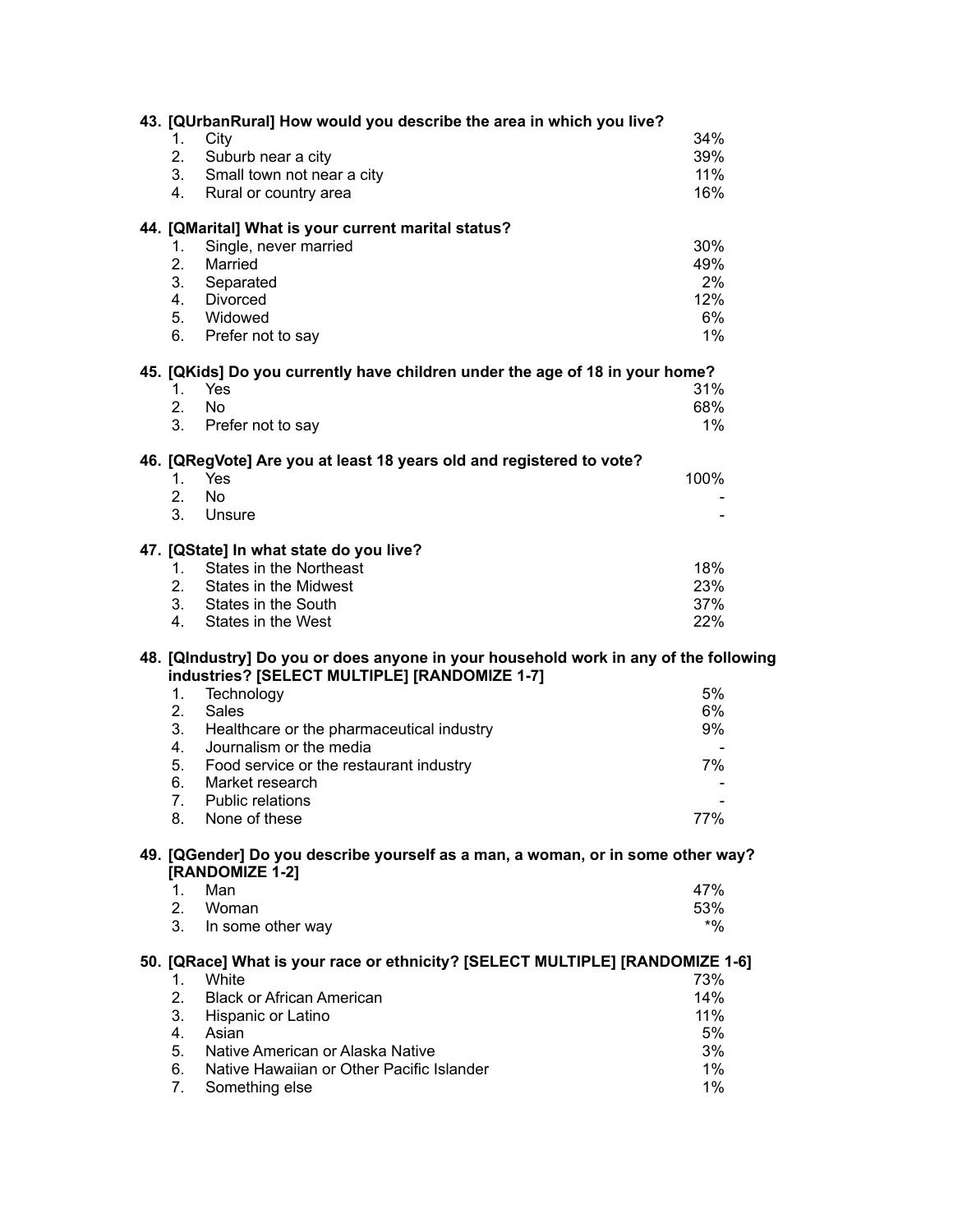|                                                                                                    | 43. [QUrbanRural] How would you describe the area in which you live?                 |        |  |  |  |
|----------------------------------------------------------------------------------------------------|--------------------------------------------------------------------------------------|--------|--|--|--|
| 1.                                                                                                 | City                                                                                 | 34%    |  |  |  |
| 2.                                                                                                 | Suburb near a city                                                                   | 39%    |  |  |  |
| 3.                                                                                                 | Small town not near a city                                                           | 11%    |  |  |  |
| 4.                                                                                                 | Rural or country area                                                                | 16%    |  |  |  |
|                                                                                                    |                                                                                      |        |  |  |  |
|                                                                                                    | 44. [QMarital] What is your current marital status?                                  |        |  |  |  |
| 1.                                                                                                 | Single, never married                                                                | 30%    |  |  |  |
| 2.                                                                                                 | Married                                                                              | 49%    |  |  |  |
| 3.                                                                                                 | Separated                                                                            | 2%     |  |  |  |
| 4.                                                                                                 | <b>Divorced</b>                                                                      | 12%    |  |  |  |
| 5.                                                                                                 | Widowed                                                                              | 6%     |  |  |  |
| 6.                                                                                                 | Prefer not to say                                                                    | 1%     |  |  |  |
|                                                                                                    | 45. [QKids] Do you currently have children under the age of 18 in your home?         |        |  |  |  |
| $1_{-}$                                                                                            | Yes                                                                                  | 31%    |  |  |  |
| 2.                                                                                                 | <b>No</b>                                                                            | 68%    |  |  |  |
| 3.                                                                                                 | Prefer not to say                                                                    | 1%     |  |  |  |
|                                                                                                    |                                                                                      |        |  |  |  |
|                                                                                                    | 46. [QRegVote] Are you at least 18 years old and registered to vote?                 |        |  |  |  |
| 1.                                                                                                 | Yes                                                                                  | 100%   |  |  |  |
| 2.                                                                                                 | <b>No</b>                                                                            |        |  |  |  |
| 3 <sub>1</sub>                                                                                     | Unsure                                                                               |        |  |  |  |
|                                                                                                    | 47. [QState] In what state do you live?                                              |        |  |  |  |
| 1.                                                                                                 | <b>States in the Northeast</b>                                                       | 18%    |  |  |  |
| 2.                                                                                                 | States in the Midwest                                                                | 23%    |  |  |  |
| 3.                                                                                                 | States in the South                                                                  | 37%    |  |  |  |
| 4.                                                                                                 | States in the West                                                                   | 22%    |  |  |  |
|                                                                                                    |                                                                                      |        |  |  |  |
|                                                                                                    | 48. [QIndustry] Do you or does anyone in your household work in any of the following |        |  |  |  |
|                                                                                                    | industries? [SELECT MULTIPLE] [RANDOMIZE 1-7]                                        | 5%     |  |  |  |
| 1.                                                                                                 | Technology                                                                           |        |  |  |  |
| 2.                                                                                                 | <b>Sales</b>                                                                         | 6%     |  |  |  |
| 3.                                                                                                 | Healthcare or the pharmaceutical industry                                            | 9%     |  |  |  |
| 4 <sub>1</sub>                                                                                     | Journalism or the media                                                              |        |  |  |  |
| 5.                                                                                                 | Food service or the restaurant industry                                              | 7%     |  |  |  |
| 6.                                                                                                 | Market research                                                                      |        |  |  |  |
| 7.                                                                                                 | <b>Public relations</b>                                                              |        |  |  |  |
| 8.                                                                                                 | None of these                                                                        | 77%    |  |  |  |
| 49. [QGender] Do you describe yourself as a man, a woman, or in some other way?<br>[RANDOMIZE 1-2] |                                                                                      |        |  |  |  |
| 1.                                                                                                 | Man                                                                                  | 47%    |  |  |  |
| 2.                                                                                                 | Woman                                                                                | 53%    |  |  |  |
| 3.                                                                                                 | In some other way                                                                    | $*9/0$ |  |  |  |
|                                                                                                    |                                                                                      |        |  |  |  |
| 50. [QRace] What is your race or ethnicity? [SELECT MULTIPLE] [RANDOMIZE 1-6]                      |                                                                                      |        |  |  |  |
| 1.                                                                                                 | White                                                                                | 73%    |  |  |  |
| 2.                                                                                                 | <b>Black or African American</b>                                                     | 14%    |  |  |  |
| 3.                                                                                                 | Hispanic or Latino                                                                   | 11%    |  |  |  |
| 4.                                                                                                 | Asian                                                                                | 5%     |  |  |  |
| 5.                                                                                                 | Native American or Alaska Native                                                     | 3%     |  |  |  |
| 6.                                                                                                 | Native Hawaiian or Other Pacific Islander                                            | $1\%$  |  |  |  |
| 7.                                                                                                 | Something else                                                                       | 1%     |  |  |  |